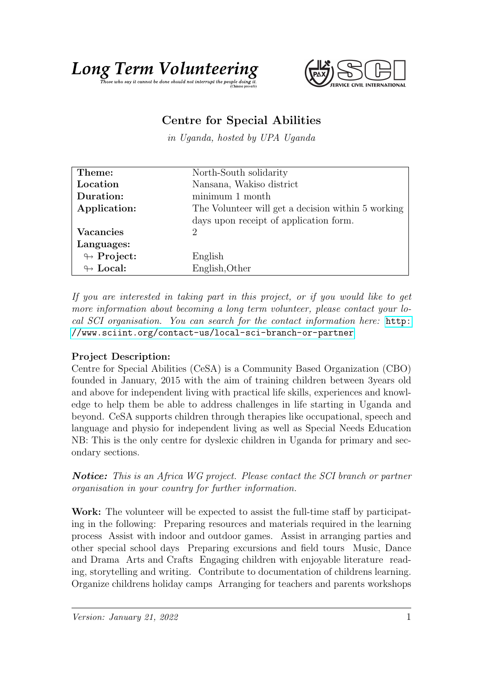## Long Term Volumet the epople doing it.



## Centre for Special Abilities

in Uganda, hosted by UPA Uganda

| Theme:                     | North-South solidarity                             |
|----------------------------|----------------------------------------------------|
| Location                   | Nansana, Wakiso district                           |
| Duration:                  | minimum 1 month                                    |
| Application:               | The Volunteer will get a decision within 5 working |
|                            | days upon receipt of application form.             |
| <b>Vacancies</b>           | 2                                                  |
| Languages:                 |                                                    |
| $\looparrowright$ Project: | English                                            |
| $\leftrightarrow$ Local:   | English, Other                                     |

If you are interested in taking part in this project, or if you would like to get more information about becoming a long term volunteer, please contact your local SCI organisation. You can search for the contact information here: [http:](http://www.sciint.org/contact-us/local-sci-branch-or-partner) [//www.sciint.org/contact-us/local-sci-branch-or-partner](http://www.sciint.org/contact-us/local-sci-branch-or-partner)

## Project Description:

Centre for Special Abilities (CeSA) is a Community Based Organization (CBO) founded in January, 2015 with the aim of training children between 3years old and above for independent living with practical life skills, experiences and knowledge to help them be able to address challenges in life starting in Uganda and beyond. CeSA supports children through therapies like occupational, speech and language and physio for independent living as well as Special Needs Education NB: This is the only centre for dyslexic children in Uganda for primary and secondary sections.

Notice: This is an Africa WG project. Please contact the SCI branch or partner organisation in your country for further information.

Work: The volunteer will be expected to assist the full-time staff by participating in the following: Preparing resources and materials required in the learning process Assist with indoor and outdoor games. Assist in arranging parties and other special school days Preparing excursions and field tours Music, Dance and Drama Arts and Crafts Engaging children with enjoyable literature reading, storytelling and writing. Contribute to documentation of childrens learning. Organize childrens holiday camps Arranging for teachers and parents workshops